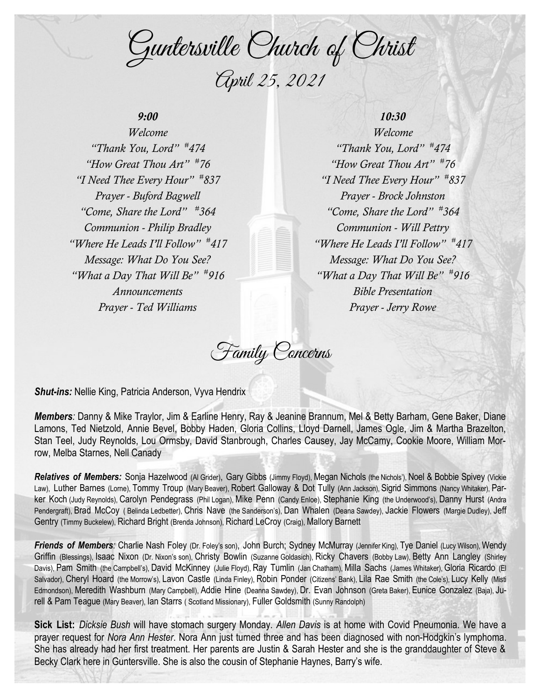Guntersville Church of Christ April 25, 2021

# *9:00*

*Welcome "Thank You, Lord" # 474 "How Great Thou Art" # 76 "I Need Thee Every Hour" # 837 Prayer - Buford Bagwell "Come, Share the Lord" # 364 Communion - Philip Bradley "Where He Leads I'll Follow" # 417 Message: What Do You See? "What a Day That Will Be" # 916 Announcements Prayer - Ted Williams*

## *10:30*

*Welcome "Thank You, Lord" # 474 "How Great Thou Art" # 76 "I Need Thee Every Hour" # 837 Prayer - Brock Johnston "Come, Share the Lord" # 364 Communion - Will Pettry "Where He Leads I'll Follow" # 417 Message: What Do You See? "What a Day That Will Be" # 916 Bible Presentation Prayer - Jerry Rowe*

Family Concerns

*Shut-ins:* Nellie King, Patricia Anderson, Vyva Hendrix

*Members:* Danny & Mike Traylor, Jim & Earline Henry, Ray & Jeanine Brannum, Mel & Betty Barham, Gene Baker, Diane Lamons, Ted Nietzold, Annie Bevel, Bobby Haden, Gloria Collins, Lloyd Darnell, James Ogle, Jim & Martha Brazelton, Stan Teel, Judy Reynolds, Lou Ormsby, David Stanbrough, Charles Causey, Jay McCamy, Cookie Moore, William Morrow, Melba Starnes, Nell Canady

*Relatives of Members:* Sonja Hazelwood (Al Grider), Gary Gibbs (Jimmy Floyd), Megan Nichols (the Nichols'), Noel & Bobbie Spivey (Vickie Law), Luther Barnes (Lorne), Tommy Troup (Mary Beaver), Robert Galloway & Dot Tully (Ann Jackson), Sigrid Simmons (Nancy Whitaker), Parker Koch (Judy Reynolds), Carolyn Pendegrass (Phil Logan), Mike Penn (Candy Enloe), Stephanie King (the Underwood's), Danny Hurst (Andra Pendergraft), Brad McCoy ( Belinda Ledbetter), Chris Nave (the Sanderson's), Dan Whalen (Deana Sawdey), Jackie Flowers (Margie Dudley), Jeff Gentry (Timmy Buckelew), Richard Bright (Brenda Johnson), Richard LeCroy (Craig), Mallory Barnett

Friends of Members: Charlie Nash Foley (Dr. Foley's son), John Burch; Sydney McMurray (Jennifer King), Tye Daniel (Lucy Wilson), Wendy Griffin (Blessings), Isaac Nixon (Dr. Nixon's son), Christy Bowlin (Suzanne Goldasich), Ricky Chavers (Bobby Law), Betty Ann Langley (Shirley Davis), Pam Smith (the Campbell's), David McKinney (Julie Floyd), Ray Tumlin (Jan Chatham), Milla Sachs (James Whitaker), Gloria Ricardo (El Salvador), Cheryl Hoard (the Morrow's), Lavon Castle (Linda Finley), Robin Ponder (Citizens' Bank), Lila Rae Smith (the Cole's), Lucy Kelly (Misti Edmondson), Meredith Washburn (Mary Campbell), Addie Hine (Deanna Sawdey), Dr. Evan Johnson (Greta Baker), Eunice Gonzalez (Baja), Jurell & Pam Teague (Mary Beaver), Ian Starrs ( Scotland Missionary), Fuller Goldsmith (Sunny Randolph)

**Sick List:** *Dicksie Bush* will have stomach surgery Monday. *Allen Davis* is at home with Covid Pneumonia. We have a prayer request for *Nora Ann Hester*. Nora Ann just turned three and has been diagnosed with non-Hodgkin's lymphoma. She has already had her first treatment. Her parents are Justin & Sarah Hester and she is the granddaughter of Steve & Becky Clark here in Guntersville. She is also the cousin of Stephanie Haynes, Barry's wife.